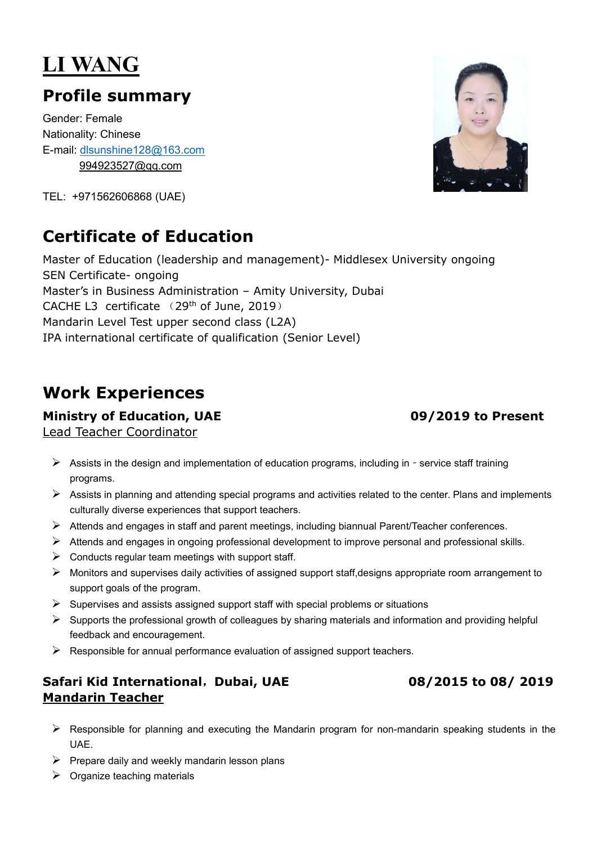# **LI WANG**

## **Profile summary**

Gender: Female Nationality: Chinese E-mail: [dlsunshine128@163.com](mailto:dlsunshine128@163.com) [994923527@qq.com](mailto:994923527@qq.com)

TEL: +971562606868 (UAE)

## **Certificate of Education**

Master of Education (leadership and management)- Middlesex University ongoing SEN Certificate- ongoing Master's in Business Administration – Amity University, Dubai CACHE L3 certificate  $(29<sup>th</sup>$  of June, 2019) Mandarin Level Test upper second class (L2A) IPA international certificate of qualification (Senior Level)

## **Work Experiences**

### **Ministry of Education, UAE 09/2019 to Present**

Lead Teacher Coordinator

- Assists in the design and implementation of education programs, including in service staff training programs.
- $\triangleright$  Assists in planning and attending special programs and activities related to the center. Plans and implements culturally diverse experiences that support teachers.
- $\triangleright$  Attends and engages in staff and parent meetings, including biannual Parent/Teacher conferences.
- $\triangleright$  Attends and engages in ongoing professional development to improve personal and professional skills.
- $\triangleright$  Conducts regular team meetings with support staff.
- $\triangleright$  Monitors and supervises daily activities of assigned support staff, designs appropriate room arrangement to support goals of the program.
- $\triangleright$  Supervises and assists assigned support staff with special problems or situations
- $\triangleright$  Supports the professional growth of colleagues by sharing materials and information and providing helpful feedback and encouragement.
- $\triangleright$  Responsible for annual performance evaluation of assigned support teachers.

### **Safari Kid International**,**Dubai, UAE 08/2015 to 08/ 2019 Mandarin Teacher**

- Responsible for planning and executing the Mandarin program for non-mandarin speaking students in the UAE.
- $\triangleright$  Prepare daily and weekly mandarin lesson plans
- $\triangleright$  Organize teaching materials